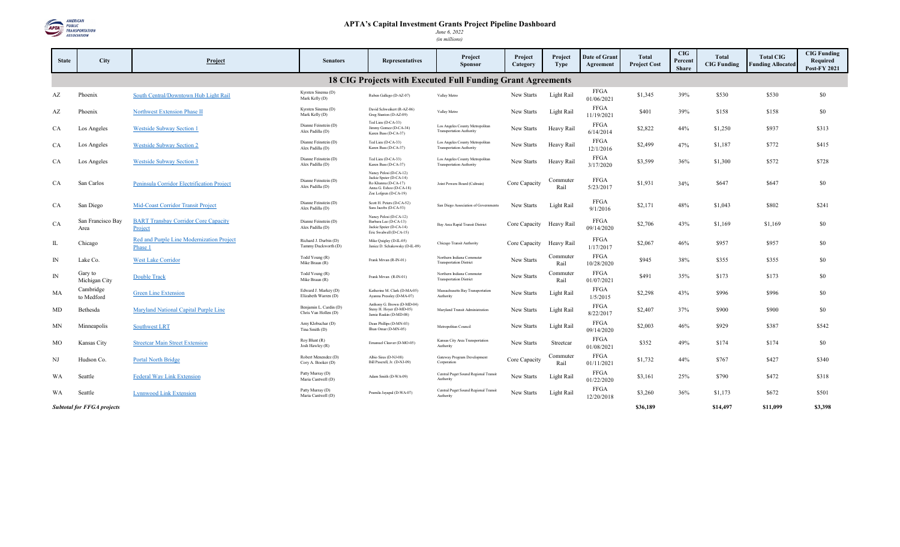

| <b>State</b> | <b>City</b>                                                                      | Project                                                | <b>Senators</b>                                | <b>Representatives</b>                                                                                                       | Project<br><b>Sponsor</b>                                          | Project<br>Category | Project<br><b>Type</b> | Date of Grant<br>Agreement | Total<br><b>Project Cost</b> | <b>CIG</b><br>Percent<br><b>Share</b> | Total<br><b>CIG Funding</b> | <b>Total CIG</b><br><b>Funding Allocated</b> | <b>CIG Funding</b><br>Required<br><b>Post-FY 2021</b> |
|--------------|----------------------------------------------------------------------------------|--------------------------------------------------------|------------------------------------------------|------------------------------------------------------------------------------------------------------------------------------|--------------------------------------------------------------------|---------------------|------------------------|----------------------------|------------------------------|---------------------------------------|-----------------------------|----------------------------------------------|-------------------------------------------------------|
|              |                                                                                  |                                                        |                                                |                                                                                                                              | 18 CIG Projects with Executed Full Funding Grant Agreements        |                     |                        |                            |                              |                                       |                             |                                              |                                                       |
| AZ           | Phoenix                                                                          | South Central/Downtown Hub Light Rail                  | Kyrsten Sinema (D)<br>Mark Kelly (D)           | Ruben Gallego (D-AZ-07)                                                                                                      | Valley Metro                                                       | New Starts          | Light Rail             | FFGA<br>01/06/2021         | \$1,345                      | 39%                                   | \$530                       | \$530                                        | \$0                                                   |
| AZ           | Phoenix                                                                          | <b>Northwest Extension Phase II</b>                    | Kyrsten Sinema (D)<br>Mark Kelly (D)           | David Schweikert (R-AZ-06)<br>Greg Stanton (D-AZ-09)                                                                         | Valley Metro                                                       | New Starts          | Light Rail             | FFGA<br>11/19/2021         | \$401                        | 39%                                   | \$158                       | \$158                                        | \$0                                                   |
| CA           | Los Angeles                                                                      | <b>Westside Subway Section 1</b>                       | Dianne Feinstein (D)<br>Alex Padilla (D)       | Ted Lieu (D-CA-33)<br>Jimmy Gomez (D-CA-34)<br>Karen Bass (D-CA-37)                                                          | Los Angeles County Metropolitan<br><b>Transportation Authority</b> | New Starts          | Heavy Rail             | FFGA<br>6/14/2014          | \$2,822                      | 44%                                   | \$1,250                     | \$937                                        | \$313                                                 |
| CA           | Los Angeles                                                                      | <b>Westside Subway Section 2</b>                       | Dianne Feinstein (D)<br>Alex Padilla (D)       | Ted Lieu (D-CA-33)<br>Karen Bass (D-CA-37)                                                                                   | Los Angeles County Metropolitan<br><b>Transportation Authority</b> | New Starts          | Heavy Rail             | FFGA<br>12/1/2016          | \$2,499                      | 47%                                   | \$1,187                     | \$772                                        | \$415                                                 |
| CA           | Los Angeles                                                                      | <b>Westside Subway Section 3</b>                       | Dianne Feinstein (D)<br>Alex Padilla (D)       | Ted Lieu (D-CA-33)<br>Karen Bass (D-CA-37)                                                                                   | Los Angeles County Metropolitan<br><b>Transportation Authority</b> | New Starts          | Heavy Rail             | FFGA<br>3/17/2020          | \$3,599                      | 36%                                   | \$1,300                     | \$572                                        | \$728                                                 |
| CA           | San Carlos                                                                       | Peninsula Corridor Electrification Project             | Dianne Feinstein (D)<br>Alex Padilla (D)       | Nancy Pelosi (D-CA-12)<br>Jackie Speier (D-CA-14)<br>Ro Khanna (D-CA-17)<br>Anna G. Eshoo (D-CA-18)<br>Zoe Lofgren (D-CA-19) | Joint Powers Board (Caltrain)                                      | Core Capacity       | Commuter<br>Rail       | FFGA<br>5/23/2017          | \$1,931                      | 34%                                   | \$647                       | \$647                                        | \$0                                                   |
| CA           | San Diego                                                                        | Mid-Coast Corridor Transit Project                     | Dianne Feinstein (D)<br>Alex Padilla (D)       | Scott H. Peters (D-CA-52)<br>Sara Jacobs (D-CA-53)                                                                           | San Diego Association of Governments                               | New Starts          | Light Rail             | FFGA<br>9/1/2016           | \$2,171                      | 48%                                   | \$1,043                     | \$802                                        | \$241                                                 |
| CA           | San Francisco Bay<br>Area                                                        | <b>BART Transbay Corridor Core Capacity</b><br>Project | Dianne Feinstein (D)<br>Alex Padilla (D)       | Nancy Pelosi (D-CA-12)<br>Barbara Lee (D-CA-13)<br>Jackie Speier (D-CA-14)<br>Eric Swalwell (D-CA-15)                        | Bay Area Rapid Transit District                                    | Core Capacity       | Heavy Rail             | FFGA<br>09/14/2020         | \$2,706                      | 43%                                   | \$1,169                     | \$1,169                                      | \$0                                                   |
| $\mathbf{I}$ | Chicago                                                                          | Red and Purple Line Modernization Project<br>Phase 1   | Richard J. Durbin (D)<br>Tammy Duckworth (D)   | Mike Quigley (D-IL-05)<br>Janice D. Schakowsky (D-IL-09)                                                                     | Chicago Transit Authority                                          | Core Capacity       | Heavy Rail             | FFGA<br>1/17/2017          | \$2,067                      | 46%                                   | \$957                       | \$957                                        | \$0                                                   |
| $\mathbb{N}$ | Lake Co.                                                                         | West Lake Corridor                                     | Todd Young (R)<br>Mike Braun (R)               | Frank Mrvan (R-IN-01)                                                                                                        | Northern Indiana Commuter<br><b>Transportation District</b>        | New Starts          | Commuter<br>Rail       | <b>FFGA</b><br>10/28/2020  | \$945                        | 38%                                   | \$355                       | \$355                                        | \$0                                                   |
| IN           | Gary to<br>Michigan City                                                         | <b>Double Track</b>                                    | Todd Young (R)<br>Mike Braun (R)               | Frank Mrvan (R-IN-01)                                                                                                        | Northern Indiana Commuter<br><b>Transportation District</b>        | New Starts          | Commuter<br>Rail       | FFGA<br>01/07/2021         | \$491                        | 35%                                   | \$173                       | \$173                                        | \$0                                                   |
| МA           | Cambridge<br>to Medford                                                          | <b>Green Line Extension</b>                            | Edward J. Markey (D)<br>Elizabeth Warren (D)   | Katherine M. Clark (D-MA-05)<br>Ayanna Pressley (D-MA-07)                                                                    | Massachusetts Bay Transportation<br>Authority                      | New Starts          | Light Rail             | FFGA<br>1/5/2015           | \$2,298                      | 43%                                   | \$996                       | \$996                                        | \$0                                                   |
| MD           | Bethesda                                                                         | Maryland National Capital Purple Line                  | Benjamin L. Cardin (D)<br>Chris Van Hollen (D) | Anthony G. Brown (D-MD-04)<br>Steny H. Hoyer (D-MD-05)<br>Jamie Raskin (D-MD-08)                                             | Maryland Transit Administration                                    | New Starts          | Light Rail             | FFGA<br>8/22/2017          | \$2,407                      | 37%                                   | \$900                       | \$900                                        | \$0                                                   |
| MN           | Minneapolis                                                                      | <b>Southwest LRT</b>                                   | Amy Klobuchar (D)<br>Tina Smith (D)            | Dean Phillips (D-MN-03)<br>Ilhan Omar (D-MN-05)                                                                              | Metropolitan Council                                               | New Starts          | Light Rail             | FFGA<br>09/14/2020         | \$2,003                      | 46%                                   | \$929                       | \$387                                        | \$542                                                 |
| МO           | Kansas City                                                                      | <b>Streetcar Main Street Extension</b>                 | Roy Blunt (R)<br>Josh Hawley (R)               | Emanuel Cleaver (D-MO-05)                                                                                                    | Kansas City Area Transportation<br>Authority                       | New Starts          | Streetcar              | FFGA<br>01/08/2021         | \$352                        | 49%                                   | \$174                       | \$174                                        | \$0                                                   |
| NJ           | Hudson Co.                                                                       | <b>Portal North Bridge</b>                             | Robert Menendez (D)<br>Cory A. Booker (D)      | Albio Sires (D-NJ-08)<br>Bill Pascrell, Jr. (D-NJ-09)                                                                        | Gateway Program Development<br>Corporation                         | Core Capacity       | Commuter<br>Rail       | FFGA<br>01/11/2021         | \$1,732                      | 44%                                   | \$767                       | \$427                                        | \$340                                                 |
| WA           | Seattle                                                                          | <b>Federal Way Link Extension</b>                      | Patty Murray (D)<br>Maria Cantwell (D)         | Adam Smith (D-WA-09)                                                                                                         | Central Puget Sound Regional Transit<br>Authority                  | New Starts          | Light Rail             | FFGA<br>01/22/2020         | \$3,161                      | 25%                                   | \$790                       | \$472                                        | \$318                                                 |
| WA           | Seattle                                                                          | <b>Lynnwood Link Extension</b>                         | Patty Murray (D)<br>Maria Cantwell (D)         | Pramila Jayapal (D-WA-07)                                                                                                    | Central Puget Sound Regional Transit<br>Authority                  | New Starts          | Light Rail             | FFGA<br>12/20/2018         | \$3,260                      | 36%                                   | \$1,173                     | \$672                                        | \$501                                                 |
|              | \$3,398<br><b>Subtotal for FFGA projects</b><br>\$36.189<br>\$14,497<br>\$11.099 |                                                        |                                                |                                                                                                                              |                                                                    |                     |                        |                            |                              |                                       |                             |                                              |                                                       |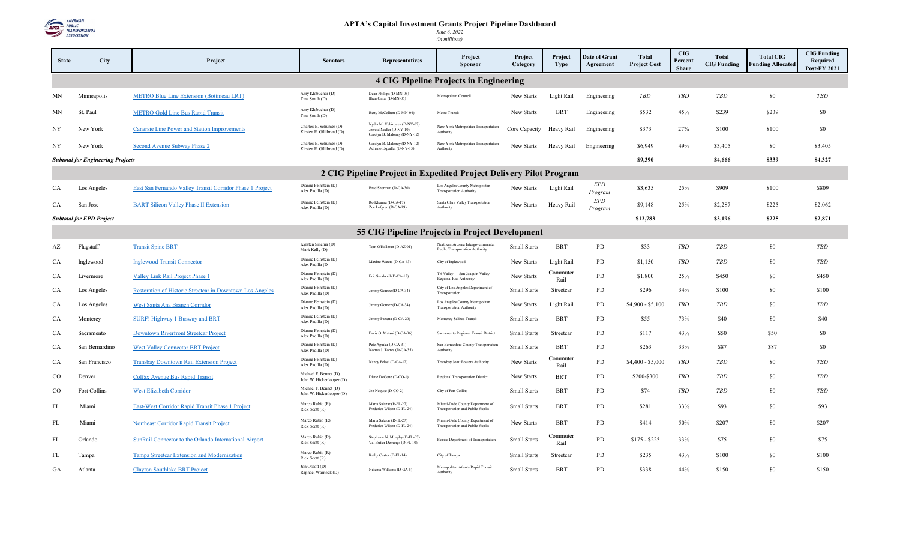

| <b>State</b>                                    | <b>City</b>                              | Project                                                   | <b>Senators</b>                                     | <b>Representatives</b>                                                                   | Project<br><b>Sponsor</b>                                             | Project<br>Category | Project<br><b>Type</b> | <b>Date of Grant</b><br>Agreement | <b>Total</b><br><b>Project Cost</b> | <b>CIG</b><br>Percent<br><b>Share</b> | Total<br><b>CIG Funding</b> | <b>Total CIG</b><br><b>Funding Allocated</b> | <b>CIG Funding</b><br>Required<br><b>Post-FY 2021</b> |
|-------------------------------------------------|------------------------------------------|-----------------------------------------------------------|-----------------------------------------------------|------------------------------------------------------------------------------------------|-----------------------------------------------------------------------|---------------------|------------------------|-----------------------------------|-------------------------------------|---------------------------------------|-----------------------------|----------------------------------------------|-------------------------------------------------------|
| <b>4 CIG Pipeline Projects in Engineering</b>   |                                          |                                                           |                                                     |                                                                                          |                                                                       |                     |                        |                                   |                                     |                                       |                             |                                              |                                                       |
| MΝ                                              | Minneapolis                              | METRO Blue Line Extension (Bottineau LRT)                 | Amy Klobuchar (D)<br>Tina Smith (D)                 | Dean Phillips (D-MN-03)<br>Ilhan Omar (D-MN-05)                                          | Metropolitan Council                                                  | New Starts          | Light Rail             | Engineering                       | TBD                                 | TBD                                   | <b>TBD</b>                  | \$0                                          | <b>TBD</b>                                            |
| MN                                              | St. Paul                                 | <b>METRO Gold Line Bus Rapid Transit</b>                  | Amy Klobuchar (D)<br>Tina Smith (D)                 | Betty McCollum (D-MN-04)                                                                 | Metro Transit                                                         | New Starts          | <b>BRT</b>             | Engineering                       | \$532                               | 45%                                   | \$239                       | \$239                                        | \$0                                                   |
| NY                                              | New York                                 | Canarsie Line Power and Station Improvements              | Charles E. Schumer (D)<br>Kirsten E. Gillibrand (D) | Nydia M. Velázquez (D-NY-07)<br>Jerrold Nadler (D-NY-10)<br>Carolyn B. Maloney (D-NY-12) | New York Metropolitan Transportation<br>Authority                     | Core Capacity       | Heavy Rail             | Engineering                       | \$373                               | 27%                                   | \$100                       | \$100                                        | \$0                                                   |
| NY                                              | New York                                 | Second Avenue Subway Phase 2                              | Charles E. Schumer (D)<br>Kirsten E. Gillibrand (D) | Carolyn B. Maloney (D-NY-12)<br>Adriano Espaillat (D-NY-13)                              | New York Metropolitan Transportation<br>Authority                     | New Starts          | Heavy Rail             | Engineering                       | \$6,949                             | 49%                                   | \$3,405                     | \$0                                          | \$3,405                                               |
|                                                 | <b>Subtotal for Engineering Projects</b> |                                                           |                                                     |                                                                                          |                                                                       |                     |                        |                                   | \$9,390                             |                                       | \$4,666                     | \$339                                        | \$4,327                                               |
|                                                 |                                          |                                                           |                                                     |                                                                                          | 2 CIG Pipeline Project in Expedited Project Delivery Pilot Program    |                     |                        |                                   |                                     |                                       |                             |                                              |                                                       |
| CA                                              | Los Angeles                              | East San Fernando Valley Transit Corridor Phase 1 Project | Dianne Feinstein (D)<br>Alex Padilla (D)            | Brad Sherman (D-CA-30)                                                                   | Los Angeles County Metropolitan<br><b>Transportation Authority</b>    | New Starts          | Light Rail             | EPD<br>Program                    | \$3,635                             | 25%                                   | \$909                       | \$100                                        | \$809                                                 |
| CA                                              | San Jose                                 | <b>BART Silicon Valley Phase II Extension</b>             | Dianne Feinstein (D)<br>Alex Padilla (D)            | Ro Khanna (D-CA-17)<br>Zoe Lofgren (D-CA-19)                                             | Santa Clara Valley Transportation<br>Authority                        | New Starts          | Heavy Rail             | <b>EPD</b><br>Program             | \$9,148                             | 25%                                   | \$2,287                     | \$225                                        | \$2,062                                               |
|                                                 | <b>Subtotal for EPD Project</b>          |                                                           |                                                     |                                                                                          |                                                                       |                     |                        |                                   | \$12,783                            |                                       | \$3,196                     | \$225                                        | \$2,871                                               |
| 55 CIG Pipeline Projects in Project Development |                                          |                                                           |                                                     |                                                                                          |                                                                       |                     |                        |                                   |                                     |                                       |                             |                                              |                                                       |
| AZ                                              | Flagstaff                                | <b>Transit Spine BRT</b>                                  | Kyrsten Sinema (D)<br>Mark Kelly (D)                | Tom O'Halleran (D-AZ-01)                                                                 | Northern Arizona Intergovernmental<br>Public Transportation Authority | Small Starts        | <b>BRT</b>             | PD                                | \$33                                | <b>TBD</b>                            | <b>TBD</b>                  | \$0                                          | <b>TBD</b>                                            |
| CA                                              | Inglewood                                | <b>Inglewood Transit Connector</b>                        | Dianne Feinstein (D)<br>Alex Padilla (D             | Maxine Waters (D-CA-43)                                                                  | City of Inglewood                                                     | New Starts          | Light Rail             | PD                                | \$1,150                             | <b>TBD</b>                            | <b>TBD</b>                  | \$0                                          | <b>TBD</b>                                            |
| CA                                              | Livermore                                | Valley Link Rail Project Phase 1                          | Dianne Feinstein (D)<br>Alex Padilla (D)            | Eric Swalwell (D-CA-15)                                                                  | Tri-Valley - San Joaquin Valley<br>Regional Rail Authority            | New Starts          | Commuter<br>Rail       | PD                                | \$1,800                             | 25%                                   | \$450                       | \$0                                          | \$450                                                 |
| CA                                              | Los Angeles                              | Restoration of Historic Streetcar in Downtown Los Angeles | Dianne Feinstein (D)<br>Alex Padilla (D)            | Jimmy Gomez (D-CA-34)                                                                    | City of Los Angeles Department of<br>Transportation                   | Small Starts        | Streetcar              | PD                                | \$296                               | 34%                                   | \$100                       | \$0                                          | \$100                                                 |
| CA                                              | Los Angeles                              | West Santa Ana Branch Corridor                            | Dianne Feinstein (D)<br>Alex Padilla (D)            | Jimmy Gomez (D-CA-34)                                                                    | Los Angeles County Metropolitan<br><b>Transportation Authority</b>    | New Starts          | Light Rail             | PD                                | $$4,900 - $5,100$                   | <b>TBD</b>                            | <b>TBD</b>                  | \$0                                          | <b>TBD</b>                                            |
| CA                                              | Monterey                                 | SURF! Highway 1 Busway and BRT                            | Dianne Feinstein (D)<br>Alex Padilla (D)            | Jimmy Panetta (D-CA-20)                                                                  | Monterey-Salinas Transit                                              | Small Starts        | <b>BRT</b>             | PD                                | \$55                                | 73%                                   | \$40                        | \$0                                          | \$40                                                  |
| CA                                              | Sacramento                               | Downtown Riverfront Streetcar Project                     | Dianne Feinstein (D)<br>Alex Padilla (D)            | Doris O. Matsui (D-CA-06)                                                                | Sacramento Regional Transit District                                  | <b>Small Starts</b> | Streetcar              | PD                                | \$117                               | 43%                                   | \$50                        | \$50                                         | \$0                                                   |
| CA                                              | San Bernardino                           | <b>West Valley Connector BRT Project</b>                  | Dianne Feinstein (D)<br>Alex Padilla (D)            | Pete Aguilar (D-CA-31)<br>Norma J. Torres (D-CA-35)                                      | San Bernardino County Transportation<br>Authority                     | <b>Small Starts</b> | <b>BRT</b>             | <b>PD</b>                         | \$263                               | 33%                                   | \$87                        | \$87                                         | \$0                                                   |
| CA                                              | San Francisco                            | Transbay Downtown Rail Extension Project                  | Dianne Feinstein (D)<br>Alex Padilla (D)            | Nancy Pelosi (D-CA-12)                                                                   | Transbay Joint Powers Authority                                       | New Starts          | Commuter<br>Rail       | PD                                | $$4,400 - $5,000$                   | <b>TBD</b>                            | <b>TBD</b>                  | \$0                                          | <b>TBD</b>                                            |
| $_{\rm CO}$                                     | Denver                                   | Colfax Avenue Bus Rapid Transit                           | Michael F. Bennet (D)<br>John W. Hickenlooper (D)   | Diane DeGette (D-CO-1)                                                                   | Regional Transportation District                                      | New Starts          | <b>BRT</b>             | PD                                | \$200-\$300                         | <b>TBD</b>                            | <b>TBD</b>                  | \$0                                          | <b>TBD</b>                                            |
| $_{\rm CO}$                                     | Fort Collins                             | West Elizabeth Corridor                                   | Michael F. Bennet (D)<br>John W. Hickenlooper (D)   | Joe Neguse (D-CO-2)                                                                      | City of Fort Collins                                                  | Small Starts        | <b>BRT</b>             | PD                                | \$74                                | TBD                                   | <b>TBD</b>                  | \$0                                          | <b>TBD</b>                                            |
| FL                                              | Miami                                    | <b>East-West Corridor Rapid Transit Phase 1 Project</b>   | Marco Rubio (R)<br>Rick Scott (R)                   | Maria Salazar (R-FL-27)<br>Frederica Wilson (D-FL-24)                                    | Miami-Dade County Department of<br>Transportation and Public Works    | Small Starts        | <b>BRT</b>             | PD                                | \$281                               | 33%                                   | \$93                        | \$0                                          | \$93                                                  |
| FL                                              | Miami                                    | <b>Northeast Corridor Rapid Transit Project</b>           | Marco Rubio (R)<br>Rick Scott (R)                   | Maria Salazar (R-FL-27)<br>Frederica Wilson (D-FL-24)                                    | Miami-Dade County Department of<br>Transportation and Public Works    | New Starts          | <b>BRT</b>             | PD                                | \$414                               | 50%                                   | \$207                       | \$0                                          | \$207                                                 |
| FL                                              | Orlando                                  | SunRail Connector to the Orlando International Airport    | Marco Rubio (R)<br>Rick Scott (R)                   | Stephanie N. Murphy (D-FL-07)<br>Val Butler Demings (D-FL-10)                            | Florida Department of Transportation                                  | Small Starts        | Commuter<br>Rail       | PD                                | $$175 - $225$                       | 33%                                   | \$75                        | \$0                                          | \$75                                                  |
| FL                                              | Tampa                                    | Tampa Streetcar Extension and Modernization               | Marco Rubio (R)<br>Rick Scott (R)                   | Kathy Castor (D-FL-14)                                                                   | City of Tampa                                                         | Small Starts        | Streetcar              | PD                                | \$235                               | 43%                                   | \$100                       | \$0                                          | \$100                                                 |
| GA                                              | Atlanta                                  | <b>Clayton Southlake BRT Project</b>                      | Jon Ossoff (D)<br>Raphael Warnock (D)               | Nikema Williams (D-GA-5)                                                                 | Metropolitan Atlanta Rapid Transit<br>Authority                       | Small Starts        | <b>BRT</b>             | PD                                | \$338                               | 44%                                   | \$150                       | \$0                                          | \$150                                                 |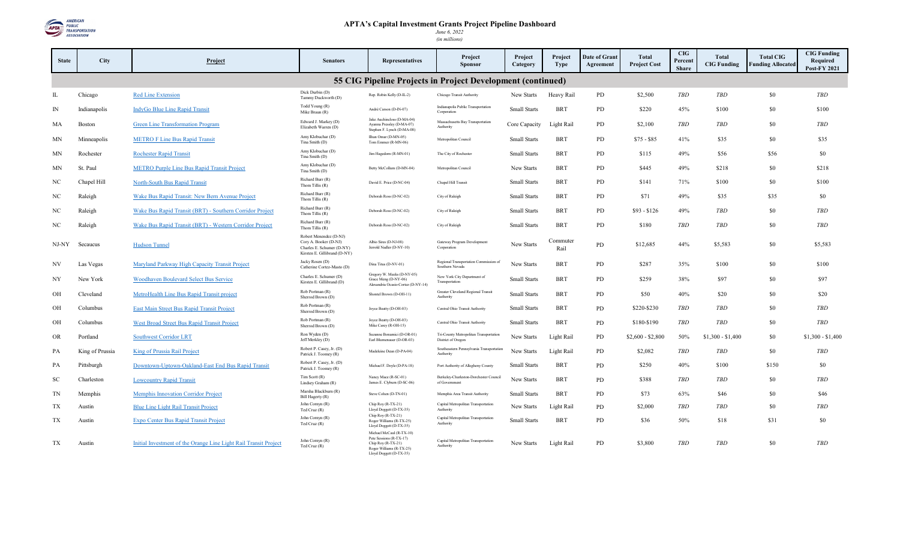

| <b>State</b> | <b>City</b>     | Project                                                          | <b>Senators</b>                                                                                              | <b>Representatives</b>                                                                                                           | Project<br><b>Sponsor</b>                                    | Project<br>Category | Project<br><b>Type</b> | Date of Grant<br>Agreement | <b>Total</b><br><b>Project Cost</b> | <b>CIG</b><br>Percent<br><b>Share</b> | <b>Total</b><br><b>CIG Funding</b> | <b>Total CIG</b><br><b>Funding Allocated</b> | <b>CIG Funding</b><br>Required<br><b>Post-FY 2021</b> |
|--------------|-----------------|------------------------------------------------------------------|--------------------------------------------------------------------------------------------------------------|----------------------------------------------------------------------------------------------------------------------------------|--------------------------------------------------------------|---------------------|------------------------|----------------------------|-------------------------------------|---------------------------------------|------------------------------------|----------------------------------------------|-------------------------------------------------------|
|              |                 |                                                                  |                                                                                                              |                                                                                                                                  | 55 CIG Pipeline Projects in Project Development (continued)  |                     |                        |                            |                                     |                                       |                                    |                                              |                                                       |
| IL           | Chicago         | <b>Red Line Extension</b>                                        | Dick Durbin (D)<br>Tammy Duckworth (D)                                                                       | Rep. Robin Kelly (D-IL-2)                                                                                                        | Chicago Transit Authority                                    | New Starts          | Heavy Rail             | PD                         | \$2,500                             | <b>TBD</b>                            | <b>TBD</b>                         | \$0                                          | <b>TBD</b>                                            |
| IN           | Indianapolis    | IndyGo Blue Line Rapid Transit                                   | Todd Young (R)<br>Mike Braun (R)                                                                             | André Carson (D-IN-07)                                                                                                           | Indianapolis Public Transportation<br>Corporation            | <b>Small Starts</b> | <b>BRT</b>             | PD                         | \$220                               | 45%                                   | \$100                              | \$0                                          | \$100                                                 |
| МA           | Boston          | <b>Green Line Transformation Program</b>                         | Edward J. Markey (D)<br>Elizabeth Warren (D)                                                                 | Jake Auchincloss (D-MA-04)<br>Ayanna Pressley (D-MA-07)<br>Stephen F. Lynch (D-MA-08)                                            | Massachusetts Bay Transportation<br>Authority                | Core Capacity       | Light Rail             | PD                         | \$2,100                             | <b>TBD</b>                            | TBD                                | \$0                                          | <b>TBD</b>                                            |
| ΜN           | Minneapolis     | <b>METRO F Line Bus Rapid Transit</b>                            | Amy Klobuchar (D)<br>Tina Smith (D)                                                                          | Ilhan Omar (D-MN-05)<br>Tom Emmer (R-MN-06)                                                                                      | Metropolitan Council                                         | <b>Small Starts</b> | <b>BRT</b>             | <b>PD</b>                  | $$75 - $85$                         | 41%                                   | \$35                               | \$0                                          | \$35                                                  |
| ΜN           | Rochester       | <b>Rochester Rapid Transit</b>                                   | Amy Klobuchar (D)<br>Tina Smith (D)                                                                          | Jim Hagedom (R-MN-01)                                                                                                            | The City of Rochester                                        | Small Starts        | <b>BRT</b>             | PD                         | \$115                               | 49%                                   | \$56                               | \$56                                         | \$0                                                   |
| MΝ           | St. Paul        | <b>METRO Purple Line Bus Rapid Transit Project</b>               | Amy Klobuchar (D)<br>Tina Smith (D)                                                                          | Betty McCollum (D-MN-04)                                                                                                         | Metropolitan Council                                         | New Starts          | <b>BRT</b>             | PD                         | \$445                               | 49%                                   | \$218                              | \$0                                          | \$218                                                 |
| NC           | Chapel Hill     | <b>North-South Bus Rapid Transit</b>                             | Richard Burr (R)<br>Thom Tillis (R)                                                                          | David E. Price (D-NC-04)                                                                                                         | Chapel Hill Transit                                          | Small Starts        | <b>BRT</b>             | PD                         | \$141                               | 71%                                   | \$100                              | \$0                                          | \$100                                                 |
| NC           | Raleigh         | Wake Bus Rapid Transit: New Bern Avenue Project                  | Richard Burr (R)<br>Thom Tillis (R)                                                                          | Deborah Ross (D-NC-02)                                                                                                           | City of Raleigh                                              | Small Starts        | <b>BRT</b>             | PD                         | \$71                                | 49%                                   | \$35                               | \$35                                         | \$0                                                   |
| NC           | Raleigh         | Wake Bus Rapid Transit (BRT) - Southern Corridor Project         | Richard Burr (R)<br>Thom Tillis (R)                                                                          | Deborah Ross (D-NC-02)                                                                                                           | City of Raleigh                                              | Small Starts        | <b>BRT</b>             | PD                         | $$93 - $126$                        | 49%                                   | <b>TBD</b>                         | \$0                                          | <b>TBD</b>                                            |
| NC           | Raleigh         | Wake Bus Rapid Transit (BRT) - Western Corridor Project          | Richard Burr (R)<br>Thom Tillis (R)                                                                          | Deborah Ross (D-NC-02)                                                                                                           | City of Raleigh                                              | Small Starts        | <b>BRT</b>             | PD                         | \$180                               | <b>TBD</b>                            | <b>TBD</b>                         | \$0                                          | <b>TBD</b>                                            |
| NJ-NY        | Secaucus        | <b>Hudson Tunnel</b>                                             | Robert Menendez (D-NJ)<br>Cory A. Booker (D-NJ)<br>Charles E. Schumer (D-NY)<br>Kirsten E. Gillibrand (D-NY) | Albio Sires (D-NJ-08)<br>Jerrold Nadler (D-NY-10)                                                                                | Gateway Program Development<br>Corporation                   | New Starts          | Commuter<br>Rail       | PD                         | \$12,685                            | 44%                                   | \$5,583                            | \$0                                          | \$5,583                                               |
| NV           | Las Vegas       | Maryland Parkway High Capacity Transit Project                   | Jacky Rosen (D)<br>Catherine Cortez-Masto (D)                                                                | Dina Titus (D-NV-01)                                                                                                             | Regional Transportation Commission of<br>Southern Nevada     | New Starts          | <b>BRT</b>             | PD                         | \$287                               | 35%                                   | \$100                              | \$0                                          | \$100                                                 |
| NY           | New York        | Woodhaven Boulevard Select Bus Service                           | Charles E. Schumer (D)<br>Kirsten E. Gillibrand (D)                                                          | Gregory W. Meeks (D-NY-05)<br>Grace Meng (D-NY-06)<br>Alexandria Ocasio-Cortez (D-NY-14)                                         | New York City Department of<br>Transportation                | Small Starts        | <b>BRT</b>             | PD                         | \$259                               | 38%                                   | \$97                               | \$0                                          | \$97                                                  |
| OH           | Cleveland       | MetroHealth Line Bus Rapid Transit project                       | Rob Portman (R)<br>Sherrod Brown (D)                                                                         | Shontel Brown (D-OH-11)                                                                                                          | Greater Cleveland Regional Transit<br>Authority              | Small Starts        | <b>BRT</b>             | PD                         | \$50                                | 40%                                   | \$20                               | \$0                                          | \$20                                                  |
| OH           | Columbus        | East Main Street Bus Rapid Transit Project                       | Rob Portman (R)<br>Sherrod Brown (D)                                                                         | Joyce Beatty (D-OH-03)                                                                                                           | Central Ohio Transit Authority                               | Small Starts        | <b>BRT</b>             | PD                         | \$220-\$230                         | TBD                                   | TBD                                | \$0                                          | <b>TBD</b>                                            |
| OH           | Columbus        | West Broad Street Bus Rapid Transit Project                      | Rob Portman (R)<br>Sherrod Brown (D)                                                                         | Joyce Beatty (D-OH-03)<br>Mike Carey (R-OH-15)                                                                                   | Central Ohio Transit Authority                               | <b>Small Starts</b> | <b>BRT</b>             | PD                         | \$180-\$190                         | <b>TBD</b>                            | <b>TBD</b>                         | \$0                                          | <b>TBD</b>                                            |
| OR           | Portland        | <b>Southwest Corridor LRT</b>                                    | Ron Wyden (D)<br>Jeff Merkley (D)                                                                            | Suzanne Bonamici (D-OR-01)<br>Earl Blumenauer (D-OR-03)                                                                          | Tri-County Metropolitan Transportation<br>District of Oregon | New Starts          | Light Rail             | PD                         | $$2,600 - $2,800$                   | 50%                                   | $$1,300 - $1,400$                  | \$0                                          | $$1,300 - $1,400$                                     |
| PA           | King of Prussia | King of Prussia Rail Project                                     | Robert P. Casey, Jr. (D)<br>Patrick J. Toomey (R)                                                            | Madeleine Dean (D-PA-04)                                                                                                         | Southeastern Pennsylvania Transportation<br>Authority        | New Starts          | Light Rail             | PD                         | \$2,082                             | <b>TBD</b>                            | TBD                                | \$0                                          | <b>TBD</b>                                            |
| PA           | Pittsburgh      | Downtown-Uptown-Oakland-East End Bus Rapid Transit               | Robert P. Casey, Jr. (D)<br>Patrick J. Toomey (R)                                                            | Michael F. Doyle (D-PA-18)                                                                                                       | Port Authority of Allegheny County                           | <b>Small Starts</b> | <b>BRT</b>             | PD                         | \$250                               | 40%                                   | \$100                              | \$150                                        | \$0                                                   |
| SC           | Charleston      | <b>Lowcountry Rapid Transit</b>                                  | $Tim$ Scott $(R)$<br>Lindsey Graham (R)                                                                      | Nancy Mace (R-SC-01)<br>James E. Clyburn (D-SC-06)                                                                               | Berkeley-Charleston-Dorchester Council<br>of Government      | New Starts          | <b>BRT</b>             | PD                         | \$388                               | TBD                                   | TBD                                | \$0                                          | TBD                                                   |
| TN           | Memphis         | <b>Memphis Innovation Corridor Project</b>                       | Marsha Blackburn (R)<br>Bill Hagerty (R)                                                                     | Steve Cohen (D-TN-01)                                                                                                            | Memphis Area Transit Authority                               | Small Starts        | <b>BRT</b>             | PD                         | \$73                                | 63%                                   | \$46                               | \$0                                          | \$46                                                  |
| TX           | Austin          | <b>Blue Line Light Rail Transit Project</b>                      | John Cornyn (R)<br>Ted Cruz (R)                                                                              | Chip Roy (R-TX-21)<br>Lloyd Doggett (D-TX-35)                                                                                    | Capital Metropolitan Transportation<br><b>Authority</b>      | New Starts          | Light Rail             | PD                         | \$2,000                             | <b>TBD</b>                            | TBD                                | \$0                                          | TBD                                                   |
| TX           | Austin          | Expo Center Bus Rapid Transit Project                            | John Cornyn (R)<br>Ted Cruz (R)                                                                              | Chip Roy (R-TX-21)<br>Roger Williams (R-TX-25)<br>Lloyd Doggett (D-TX-35)                                                        | Capital Metropolitan Transportation<br>Authority             | Small Starts        | <b>BRT</b>             | PD                         | \$36                                | 50%                                   | \$18                               | \$31                                         | \$0                                                   |
| TX           | Austin          | Initial Investment of the Orange Line Light Rail Transit Project | John Cornyn (R)<br>Ted Cruz(R)                                                                               | Michael McCaul (R-TX-10)<br>Pete Sessions (R-TX-17)<br>Chip Roy (R-TX-21)<br>Roger Williams (R-TX-25)<br>Lloyd Doggett (D-TX-35) | Capital Metropolitan Transportation<br>Authority             | New Starts          | Light Rail             | PD                         | \$3,800                             | <b>TBD</b>                            | <b>TBD</b>                         | \$0                                          | <b>TBD</b>                                            |